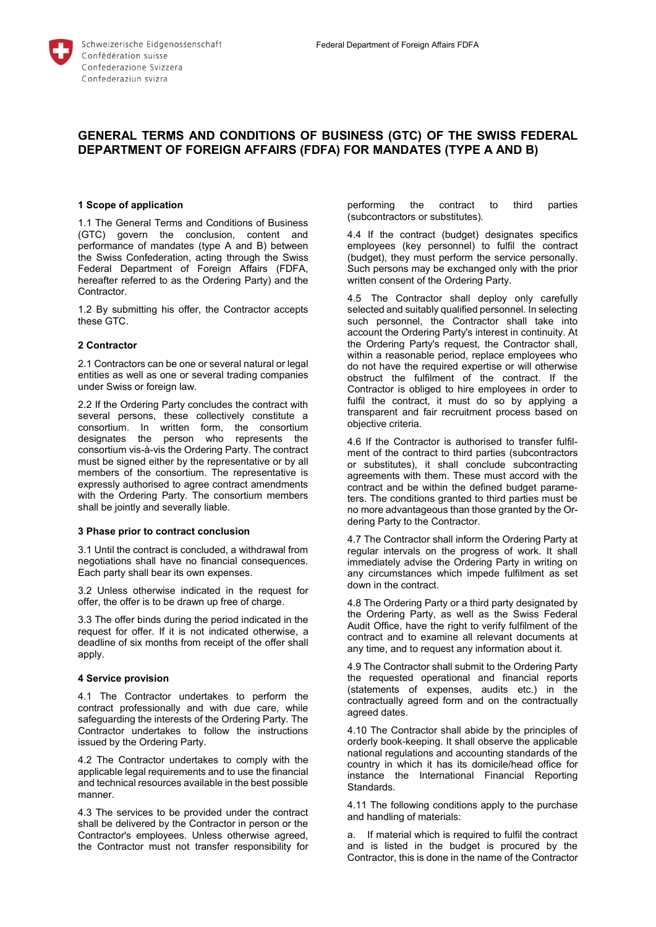# **GENERAL TERMS AND CONDITIONS OF BUSINESS (GTC) OF THE SWISS FEDERAL DEPARTMENT OF FOREIGN AFFAIRS (FDFA) FOR MANDATES (TYPE A AND B)**

# **1 Scope of application**

1.1 The General Terms and Conditions of Business (GTC) govern the conclusion, content and performance of mandates (type A and B) between the Swiss Confederation, acting through the Swiss Federal Department of Foreign Affairs (FDFA, hereafter referred to as the Ordering Party) and the Contractor.

1.2 By submitting his offer, the Contractor accepts these GTC.

## **2 Contractor**

2.1 Contractors can be one or several natural or legal entities as well as one or several trading companies under Swiss or foreign law.

2.2 If the Ordering Party concludes the contract with several persons, these collectively constitute a consortium. In written form, the consortium designates the person who represents the consortium vis-à-vis the Ordering Party. The contract must be signed either by the representative or by all members of the consortium. The representative is expressly authorised to agree contract amendments with the Ordering Party. The consortium members shall be jointly and severally liable.

#### **3 Phase prior to contract conclusion**

3.1 Until the contract is concluded, a withdrawal from negotiations shall have no financial consequences. Each party shall bear its own expenses.

3.2 Unless otherwise indicated in the request for offer, the offer is to be drawn up free of charge.

3.3 The offer binds during the period indicated in the request for offer. If it is not indicated otherwise, a deadline of six months from receipt of the offer shall apply.

#### **4 Service provision**

4.1 The Contractor undertakes to perform the contract professionally and with due care, while safeguarding the interests of the Ordering Party. The Contractor undertakes to follow the instructions issued by the Ordering Party.

4.2 The Contractor undertakes to comply with the applicable legal requirements and to use the financial and technical resources available in the best possible manner.

4.3 The services to be provided under the contract shall be delivered by the Contractor in person or the Contractor's employees. Unless otherwise agreed, the Contractor must not transfer responsibility for

performing the contract to third parties (subcontractors or substitutes).

4.4 If the contract (budget) designates specifics employees (key personnel) to fulfil the contract (budget), they must perform the service personally. Such persons may be exchanged only with the prior written consent of the Ordering Party.

4.5 The Contractor shall deploy only carefully selected and suitably qualified personnel. In selecting such personnel, the Contractor shall take into account the Ordering Party's interest in continuity. At the Ordering Party's request, the Contractor shall, within a reasonable period, replace employees who do not have the required expertise or will otherwise obstruct the fulfilment of the contract. If the Contractor is obliged to hire employees in order to fulfil the contract, it must do so by applying a transparent and fair recruitment process based on objective criteria.

4.6 If the Contractor is authorised to transfer fulfilment of the contract to third parties (subcontractors or substitutes), it shall conclude subcontracting agreements with them. These must accord with the contract and be within the defined budget parameters. The conditions granted to third parties must be no more advantageous than those granted by the Ordering Party to the Contractor.

4.7 The Contractor shall inform the Ordering Party at regular intervals on the progress of work. It shall immediately advise the Ordering Party in writing on any circumstances which impede fulfilment as set down in the contract.

4.8 The Ordering Party or a third party designated by the Ordering Party, as well as the Swiss Federal Audit Office, have the right to verify fulfilment of the contract and to examine all relevant documents at any time, and to request any information about it.

4.9 The Contractor shall submit to the Ordering Party the requested operational and financial reports (statements of expenses, audits etc.) in the contractually agreed form and on the contractually agreed dates.

4.10 The Contractor shall abide by the principles of orderly book-keeping. It shall observe the applicable national regulations and accounting standards of the country in which it has its domicile/head office for instance the International Financial Reporting Standards.

4.11 The following conditions apply to the purchase and handling of materials:

a. If material which is required to fulfil the contract and is listed in the budget is procured by the Contractor, this is done in the name of the Contractor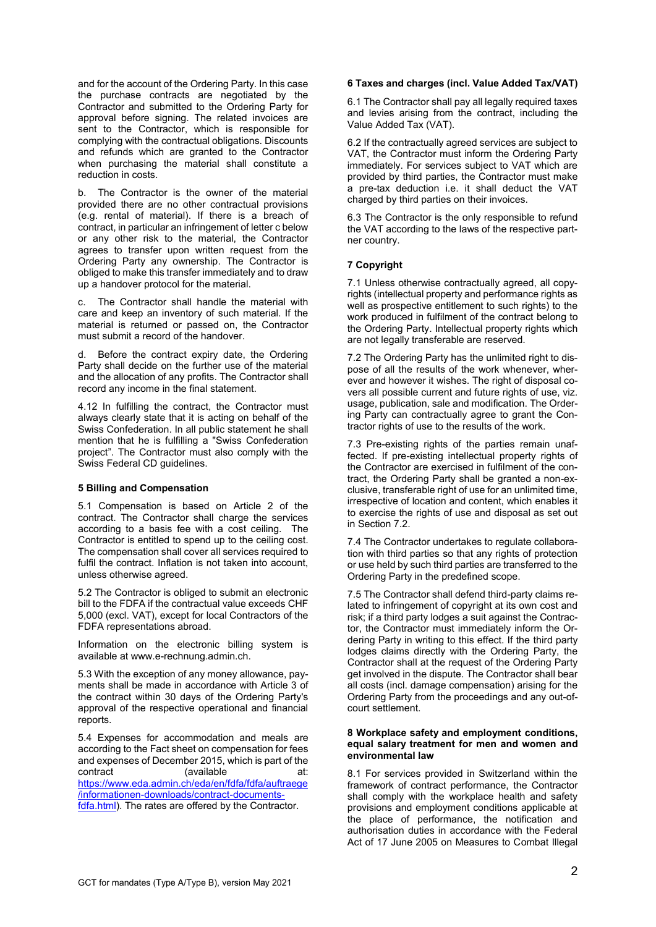and for the account of the Ordering Party. In this case the purchase contracts are negotiated by the Contractor and submitted to the Ordering Party for approval before signing. The related invoices are sent to the Contractor, which is responsible for complying with the contractual obligations. Discounts and refunds which are granted to the Contractor when purchasing the material shall constitute a reduction in costs.

b. The Contractor is the owner of the material provided there are no other contractual provisions (e.g. rental of material). If there is a breach of contract, in particular an infringement of letter c below or any other risk to the material, the Contractor agrees to transfer upon written request from the Ordering Party any ownership. The Contractor is obliged to make this transfer immediately and to draw up a handover protocol for the material.

c. The Contractor shall handle the material with care and keep an inventory of such material. If the material is returned or passed on, the Contractor must submit a record of the handover.

d. Before the contract expiry date, the Ordering Party shall decide on the further use of the material and the allocation of any profits. The Contractor shall record any income in the final statement.

4.12 In fulfilling the contract, the Contractor must always clearly state that it is acting on behalf of the Swiss Confederation. In all public statement he shall mention that he is fulfilling a "Swiss Confederation project". The Contractor must also comply with the Swiss Federal CD guidelines.

# **5 Billing and Compensation**

5.1 Compensation is based on Article 2 of the contract. The Contractor shall charge the services according to a basis fee with a cost ceiling. The Contractor is entitled to spend up to the ceiling cost. The compensation shall cover all services required to fulfil the contract. Inflation is not taken into account, unless otherwise agreed.

5.2 The Contractor is obliged to submit an electronic bill to the FDFA if the contractual value exceeds CHF 5,000 (excl. VAT), except for local Contractors of the FDFA representations abroad.

Information on the electronic billing system is available at www.e-rechnung.admin.ch.

5.3 With the exception of any money allowance, payments shall be made in accordance with Article 3 of the contract within 30 days of the Ordering Party's approval of the respective operational and financial reports.

5.4 Expenses for accommodation and meals are according to the Fact sheet on compensation for fees and expenses of December 2015, which is part of the contract (available at: [https://www.eda.admin.ch/eda/en/fdfa/fdfa/auftraege](https://www.eda.admin.ch/eda/en/fdfa/fdfa/auftraege/informationen-downloads/contract-documents-fdfa.html) [/informationen-downloads/contract-documents](https://www.eda.admin.ch/eda/en/fdfa/fdfa/auftraege/informationen-downloads/contract-documents-fdfa.html)[fdfa.html\)](https://www.eda.admin.ch/eda/en/fdfa/fdfa/auftraege/informationen-downloads/contract-documents-fdfa.html). The rates are offered by the Contractor.

# **6 Taxes and charges (incl. Value Added Tax/VAT)**

6.1 The Contractor shall pay all legally required taxes and levies arising from the contract, including the Value Added Tax (VAT).

6.2 If the contractually agreed services are subject to VAT, the Contractor must inform the Ordering Party immediately. For services subject to VAT which are provided by third parties, the Contractor must make a pre-tax deduction i.e. it shall deduct the VAT charged by third parties on their invoices.

6.3 The Contractor is the only responsible to refund the VAT according to the laws of the respective partner country.

# **7 Copyright**

7.1 Unless otherwise contractually agreed, all copyrights (intellectual property and performance rights as well as prospective entitlement to such rights) to the work produced in fulfilment of the contract belong to the Ordering Party. Intellectual property rights which are not legally transferable are reserved.

7.2 The Ordering Party has the unlimited right to dispose of all the results of the work whenever, wherever and however it wishes. The right of disposal covers all possible current and future rights of use, viz. usage, publication, sale and modification. The Ordering Party can contractually agree to grant the Contractor rights of use to the results of the work.

7.3 Pre-existing rights of the parties remain unaffected. If pre-existing intellectual property rights of the Contractor are exercised in fulfilment of the contract, the Ordering Party shall be granted a non-exclusive, transferable right of use for an unlimited time, irrespective of location and content, which enables it to exercise the rights of use and disposal as set out in Section 7.2.

7.4 The Contractor undertakes to regulate collaboration with third parties so that any rights of protection or use held by such third parties are transferred to the Ordering Party in the predefined scope.

7.5 The Contractor shall defend third-party claims related to infringement of copyright at its own cost and risk; if a third party lodges a suit against the Contractor, the Contractor must immediately inform the Ordering Party in writing to this effect. If the third party lodges claims directly with the Ordering Party, the Contractor shall at the request of the Ordering Party get involved in the dispute. The Contractor shall bear all costs (incl. damage compensation) arising for the Ordering Party from the proceedings and any out-ofcourt settlement.

## **8 Workplace safety and employment conditions, equal salary treatment for men and women and environmental law**

8.1 For services provided in Switzerland within the framework of contract performance, the Contractor shall comply with the workplace health and safety provisions and employment conditions applicable at the place of performance, the notification and authorisation duties in accordance with the Federal Act of 17 June 2005 on Measures to Combat Illegal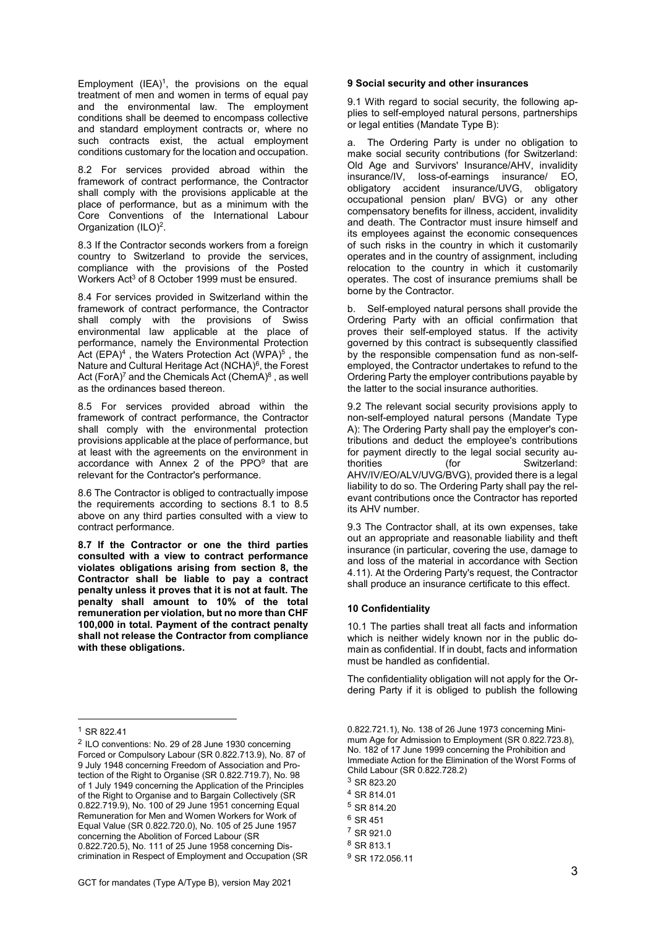Employment  $(IEA)^1$ , the provisions on the equal treatment of men and women in terms of equal pay and the environmental law. The employment conditions shall be deemed to encompass collective and standard employment contracts or, where no such contracts exist, the actual employment conditions customary for the location and occupation.

8.2 For services provided abroad within the framework of contract performance, the Contractor shall comply with the provisions applicable at the place of performance, but as a minimum with the Core Conventions of the International Labour Organization (ILO)<sup>2</sup>.

8.3 If the Contractor seconds workers from a foreign country to Switzerland to provide the services, compliance with the provisions of the Posted Workers Act<sup>3</sup> of 8 October 1999 must be ensured.

8.4 For services provided in Switzerland within the framework of contract performance, the Contractor shall comply with the provisions of Swiss environmental law applicable at the place of performance, namely the Environmental Protection Act  $(EPA)^4$  , the Waters Protection Act  $(WPA)^5$  , the Nature and Cultural Heritage Act (NCHA)<sup>6</sup>, the Forest Act (ForA)<sup>7</sup> and the Chemicals Act (ChemA) $8$  , as well as the ordinances based thereon.

8.5 For services provided abroad within the framework of contract performance, the Contractor shall comply with the environmental protection provisions applicable at the place of performance, but at least with the agreements on the environment in accordance with Annex 2 of the PPO<sup>9</sup> that are relevant for the Contractor's performance.

8.6 The Contractor is obliged to contractually impose the requirements according to sections 8.1 to 8.5 above on any third parties consulted with a view to contract performance.

**8.7 If the Contractor or one the third parties consulted with a view to contract performance violates obligations arising from section 8, the Contractor shall be liable to pay a contract penalty unless it proves that it is not at fault. The penalty shall amount to 10% of the total remuneration per violation, but no more than CHF 100,000 in total. Payment of the contract penalty shall not release the Contractor from compliance with these obligations.**

-

#### **9 Social security and other insurances**

9.1 With regard to social security, the following applies to self-employed natural persons, partnerships or legal entities (Mandate Type B):

a. The Ordering Party is under no obligation to make social security contributions (for Switzerland: Old Age and Survivors' Insurance/AHV, invalidity insurance/IV, loss-of-earnings insurance/ EO, obligatory accident insurance/UVG, obligatory occupational pension plan/ BVG) or any other compensatory benefits for illness, accident, invalidity and death. The Contractor must insure himself and its employees against the economic consequences of such risks in the country in which it customarily operates and in the country of assignment, including relocation to the country in which it customarily operates. The cost of insurance premiums shall be borne by the Contractor.

Self-employed natural persons shall provide the Ordering Party with an official confirmation that proves their self-employed status. If the activity governed by this contract is subsequently classified by the responsible compensation fund as non-selfemployed, the Contractor undertakes to refund to the Ordering Party the employer contributions payable by the latter to the social insurance authorities.

9.2 The relevant social security provisions apply to non-self-employed natural persons (Mandate Type A): The Ordering Party shall pay the employer's contributions and deduct the employee's contributions for payment directly to the legal social security authorities (for Switzerland: AHV/IV/EO/ALV/UVG/BVG), provided there is a legal liability to do so. The Ordering Party shall pay the relevant contributions once the Contractor has reported its AHV number.

9.3 The Contractor shall, at its own expenses, take out an appropriate and reasonable liability and theft insurance (in particular, covering the use, damage to and loss of the material in accordance with Section 4.11). At the Ordering Party's request, the Contractor shall produce an insurance certificate to this effect.

# **10 Confidentiality**

10.1 The parties shall treat all facts and information which is neither widely known nor in the public domain as confidential. If in doubt, facts and information must be handled as confidential.

The confidentiality obligation will not apply for the Ordering Party if it is obliged to publish the following

<sup>1</sup> SR 822.41

<sup>&</sup>lt;sup>2</sup> ILO conventions: No. 29 of 28 June 1930 concerning Forced or Compulsory Labour (SR 0.822.713.9), No. 87 of 9 July 1948 concerning Freedom of Association and Protection of the Right to Organise (SR 0.822.719.7), No. 98 of 1 July 1949 concerning the Application of the Principles of the Right to Organise and to Bargain Collectively (SR 0.822.719.9), No. 100 of 29 June 1951 concerning Equal Remuneration for Men and Women Workers for Work of Equal Value (SR 0.822.720.0), No. 105 of 25 June 1957 concerning the Abolition of Forced Labour (SR 0.822.720.5), No. 111 of 25 June 1958 concerning Discrimination in Respect of Employment and Occupation (SR

<sup>0.822.721.1),</sup> No. 138 of 26 June 1973 concerning Minimum Age for Admission to Employment (SR 0.822.723.8), No. 182 of 17 June 1999 concerning the Prohibition and Immediate Action for the Elimination of the Worst Forms of Child Labour (SR 0.822.728.2)

<sup>3</sup> SR 823.20

<sup>4</sup> SR 814.01

<sup>5</sup> SR 814.20

 $6$  SR 451

<sup>7</sup> SR 921.0

<sup>8</sup> SR 813.1

<sup>9</sup> SR 172.056.11